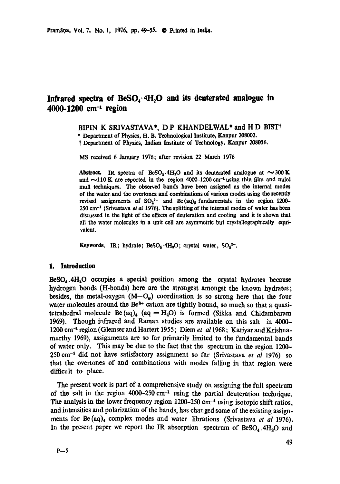# Infrared spectra of BeSO<sub>4</sub>.4H<sub>2</sub>O and its deuterated analogue in 4000-1200 cm<sup>-1</sup> region

### BIPIN K SRIVASTAVA\*, DP KHANDELWAL\* and HD BIST<sup>+</sup>

\* Department of Physics, H. B. Technological Institute, Kanpur 208002.

f Department of Physics, Indian Institute of Technology, Kanpur 208016.

MS received 6 January 1976; after revision 22 March 1976

Abstract. IR spectra of BeSO<sub>4</sub>.4H<sub>3</sub>O and its deuterated analogue at  $\sim$ 300 K and  $\sim$ 110 K are reported in the region 4000-1200 cm<sup>-1</sup> using thin film and nujol mull techniques. The observed bands have been assigned as the internal modes of the water~ and the overtones and combinations of various modes using the recently revised assignments of  $SO_4^2$  and  $Be(aq)_4$  fundamentals in the region 1200-250 cm -1 (Srivastava *et ai* 1976). The splitting of the internal modes of water has been discussed in the light of the effects of deuteration and cooling and it is shown that all the water molecules in a unit cell are asymmetric but crystallographically equivalent.

**Keywords.** IR; hydrate;  $BeSO_4 \cdot 4H_2O$ ; crystal water,  $SO_4^2$ <sup>-</sup>.

### 1. Introduction

 $BesO<sub>4</sub>$ .4H<sub>2</sub>O occupies a special position among the crystal hydrates because hydrogen bonds (H-bonds) here are the strongest amongst the known hydrates; besides, the metal-oxygen  $(M-O_{\omega})$  coordination is so strong here that the four water molecules around the  $Be^{2+}$  cation are tightly bound, so much so that a quasitetrahedral molecule Be  $(aq)_4$   $(aq = H_2O)$  is formed (Sikka and Chidambaram 1969). Though infrared and Raman studies are available on this salt in 4000- 1200 cm<sup>-1</sup> region (Glemser and Hartert 1955; Diem *et al* 1968; Katiyar and Krishnamurthy 1969), assignments are so far primarily limited to the fundamental bands of water only. This may be due to the fact that the spectrum in the region 1200- 250 cm -4 did not have satisfactory assignment so far (Srivastava *et al* 1976) so that the overtones of and combinations with modes falling in that region were difficult to place.

The present work is part of a comprehensive study on assigning the full spectrum of the salt in the region  $4000-250$  cm<sup>-1</sup> using the partial deuteration technique. The analysis in the lower frequency region  $1200-250$  cm<sup>-4</sup> using isotopic shift ratios, and intensities and polarization of the bands, has changed some of the existing assignments for Be (aq)<sub>4</sub> complex modes and water librations (Srivastava et al 1976). In the present paper we report the IR absorption spectrum of  $\text{BeSO}_4$ .  $4H_2O$  and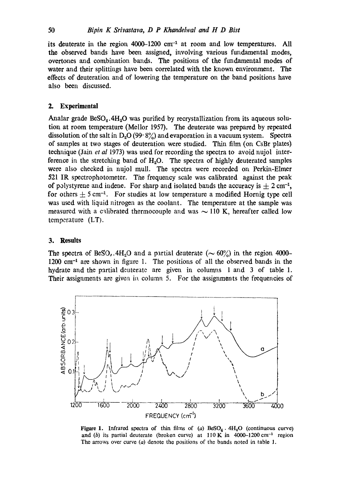its deuterate in the region  $4000-1200$  cm<sup>-1</sup> at room and low temperatures. All **the** observed bands have been assigned, involving various fundamental modes, overtones and combination bands. The positions of the fundamental modes of water and their splittings have been correlated with the known environment. The effects of deuteration and of lowering the temperature on the band positions have also been discussed.

# **2. Experimental**

Analar grade  $BeSO<sub>4</sub>$ .4H<sub>2</sub>O was purified by recrystallization from its aqueous solution at room temperature (Mellor 1957). The deuterate was prepared by repeated dissolution of the salt in  $D_2O(99.8\%)$  and evaporation in a vacuum system. Spectra of samples at two stages of deuteration were studied. Thin film (on CsBr plates) technique (Jain *et al* 1973) was used for recording the spectra to avoid nujol interference in the stretching band of  $H_2O$ . The spectra of highly deuterated samples were also checked in nujol mull. The spectra were recorded on Perkin-Elmer 521 IR speetrophotometer. The frequency scale was calibrated against the peak of polystyrene and indene. For sharp and isolated bands the accuracy is  $\pm 2$  cm<sup>-1</sup>, for others  $\pm$  5 cm<sup>-1</sup>. For studies at low temperature a modified Hornig type cell was used with liquid nitrogen as the coolant. The temperature at the sample was measured with a calibrated thermocouple and was  $\sim$  110 K, hereafter called low  $temperature$  (LT).

#### **3. Results**

The spectra of BeSO<sub>s</sub>. 4H<sub>2</sub>O and a partial deuterate ( $\sim 60\%$ ) in the region 4000-1200 cm<sup>-1</sup> are shown in figure 1. The positions of all the observed bands in the hydrate and the partial deuterate are given in columns 1 and 3 of table 1. Their assignments are given in column 5. For the assignments the frequencies of



Figure 1. Infrared spectra of thin films of (a)  $\text{BeSO}_4$   $\cdot$  4H<sub>2</sub>O (continuous curve) and (b) its partial deuterate (broken curve) at  $110 \text{ K}$  in 4000-1200 cm<sup>-1</sup> region The arrows over curve (a) denote the positions of the bands noted in table 1.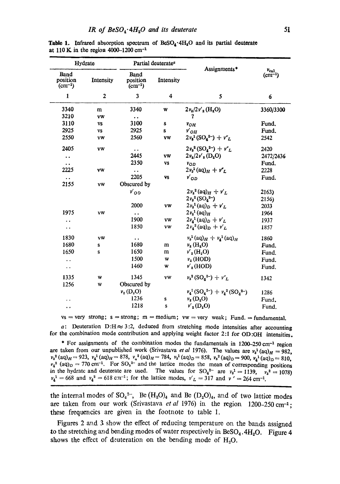| Hydrate                                      |              | Partial deuterate <sup>®</sup>         |           |                                       |                                              |
|----------------------------------------------|--------------|----------------------------------------|-----------|---------------------------------------|----------------------------------------------|
| Band<br>position<br>$(cm^{-1})$              | Intensity    | <b>Band</b><br>position<br>$(cm^{-1})$ | Intensity | Assignments*                          | $v_{ca1}$<br>$\left( \text{cm}^{-1} \right)$ |
| 1                                            | $\mathbf{2}$ | 3                                      | 4         | 5                                     | 6                                            |
| 3340                                         | m            | 3340                                   | W         | $2v_2/2v'_2$ (H <sub>2</sub> O)       | 3360/3300                                    |
| 3210                                         | vw           | $\bullet$ $\bullet$                    |           | 7                                     |                                              |
| 3110                                         | VS           | 3100                                   | S         | $v_{OH}$                              | Fund.                                        |
| 2925                                         | <b>VS</b>    | 2925                                   | s         | $v'_{OH}$                             | Fund.                                        |
| 2550                                         | <b>VW</b>    | 2560                                   | VW        | $2v_3^1(SO_4^{2-}) + v''_L$           | 2542                                         |
| 2405                                         | vw           | . .                                    |           | $2v_3^2(SO_4^{2-}) + v''_L$           | 2420                                         |
| $\ddot{\phantom{a}}$                         |              | 2445                                   | <b>VW</b> | $2v_2/2v'_3$ (D <sub>2</sub> O)       | 2472/2436                                    |
| $\bullet\hspace{0.4mm}\bullet\hspace{0.4mm}$ |              | 2350                                   | VS        | $v_{OD}$                              | Fund.                                        |
| 2225                                         | VW           | $\ddot{\phantom{a}}$                   |           | $2v_3^1$ (aq) <sub>H</sub> + $v''_L$  | 2228                                         |
| $\bullet$ $\bullet$                          |              | 2205                                   | VS        | $v'_{OD}$                             | Fund.                                        |
| 2155                                         | <b>vw</b>    | Obscured by                            |           |                                       |                                              |
|                                              |              | $v'_{OD}$                              |           | $2v_2^2$ (aq) $_H + v'_L$             | 2163)                                        |
|                                              |              |                                        |           | $2v_3^2(SO_4^{2-})$                   | 2156)                                        |
|                                              |              | 2000                                   | <b>VW</b> | $2v_3^1$ (aq) <sub>D</sub> + $v'_L$   | 2033                                         |
| 1975                                         | VW           | $\ddot{\phantom{1}}$                   |           | $2v_3^1$ (aq) $H$                     | 1964                                         |
| . .                                          |              | 1900                                   | <b>VW</b> | $2v_4^1$ (aq) <sub>D</sub> + $v'_L$   | 1937                                         |
| $\ddot{\phantom{1}}$                         |              | 1850                                   | VW        | $2v_4^2$ (aq) <sub>D</sub> + $v'_L$   | 1857                                         |
| 1830                                         | vw           | . .                                    |           | $v_3^1$ (aq) $_H + v_4^1$ (aq) $_H$   | 1860                                         |
| 1680                                         | S            | 1680                                   | m         | $v_{\rm a}$ (H <sub>a</sub> O)        | Fund.                                        |
| 1650                                         | s            | 1650                                   | m         | $\nu'_{2}$ (H <sub>2</sub> O)         | Fund.                                        |
| $\ddot{\phantom{a}}$                         |              | 1500                                   | W         | $v_2$ (HOD)                           | Fund.                                        |
| $\ddot{\phantom{0}}$                         |              | 1460                                   | w         | $v'_2$ (HOD)                          | Fund.                                        |
| 1335                                         | W            | 1345                                   | vw        | $v_3^2(SO_4^{2-}) + vr_L$             | 1342                                         |
| 1256                                         | W            | Obscured by                            |           |                                       |                                              |
|                                              |              | $v_{2}$ (D <sub>2</sub> O)             |           | $v_4^1(SO_4^{2-}) + v_4^2(SO_4^{2-})$ | 1286                                         |
|                                              |              | 1236                                   | S         | $v_{2}$ (D <sub>2</sub> O)            | Fund.                                        |
| $\ddot{\phantom{0}}$                         |              | 1218                                   | S         | $\nu'_{2}(D, O)$                      | Fund.                                        |

**Table 1.** Infrared absorption spectrum of  $\text{BeSO}_4 \cdot 4H_2O$  and its partial deuterate at 110 K in the region 4000-1200 cm<sup>-1</sup>

 $vs = very$  strong;  $s = strong$ ;  $m = medium$ ;  $vw = very$  weak; Fund.  $= fundamental$ .

a: Deuteration D:H $\approx$  3:2, deduced from stretching mode intensities after accounting for the combination mode contribution and applying weight factor 2:1 for OD:OH intensities.

\* For assignments of the combination modes the fundamentals in  $1200-250$  cm<sup>-1</sup> region are taken from our unpublished work (Srivastava *et al* 1976). The values are  $v_3^1$ (aq) $_H = 982$ ,  $v_3^2$  (aq)<sub>H</sub> = 923,  $v_4^1$  (aq)<sub>H</sub> = 878,  $v_4^2$  (aq)<sub>H</sub> = 784,  $v_3^1$  (aq)<sub>D</sub> = 858,  $v_3^2$  (aq)<sub>D</sub> = 900,  $v_4^1$  (aq)<sub>D</sub> = 810,  $v_4^2$  (aq)<sub>D</sub> = 770 cm<sup>-1</sup>. For SO<sub>5</sub><sup>2</sup> and the lattice modes the mean of corresponding positions in the hydrate and deuterate are used. The values for  $SO_4^{2-}$  are  $v_3^1 = 1139$ ,  $v_3^2 = 1078$ )  $v_4^1 = 668$  and  $v_4^2 = 618$  cm<sup>-1</sup>; for the lattice modes,  $v'_L = 317$  and  $v' = 264$  cm<sup>-1</sup>.

the internal modes of  $SO_4^2$ , Be  $(H_2O)_4$  and Be  $(D_2O)_4$ , and of two lattice modes are taken from our work (Srivastava *et al* 1976) in the region 1200-250 cm-1; these frequencies are given in the footnote to table 1.

Figures 2 and 3 show the effect of reducing temperature on the bands assigned to the stretching and bending modes of water respectively in  $\text{BeSO}_4$ .  $4H_2O$ . Figure 4 shows the effect of deuteration on the bending mode of  $H_2O$ .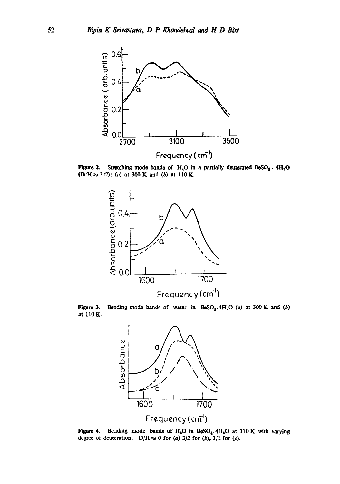

**Figure 2.** Stretching mode bands of  $H_3O$  in a partially deuterated BeSO<sub>4</sub> .  $4H_3O$ (D:H~ 3:2): (a) **at 300Kand (b) at IlOK.** 



**Figure 3. at IlOK.**  Bending mode bands of water in  $BeSO_4$ .  $4H_2O$  (a) at 300 K and (b)



**Figure 4.** degree of deuteration.  $D/H \approx 0$  for (a)  $3/2$  for (b),  $3/1$  for (c). Bending mode bands of H<sub>2</sub>O in BeSO<sub>4</sub>.4H<sub>2</sub>O at 110 K with varying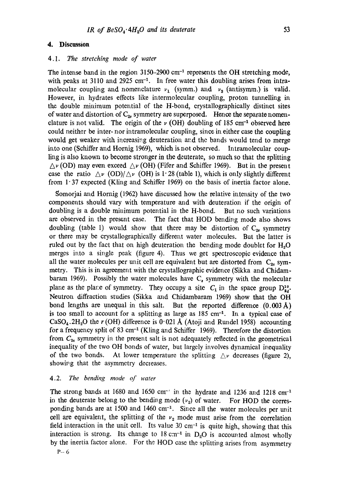## **4. Discussion**

# 4.1. *The stretching mode of water*

The intense band in the region  $3150-2900$  cm<sup>-1</sup> represents the OH stretching mode, with peaks at 3110 and 2925 cm<sup>-1</sup>. In free water this doubling arises from intramolecular coupling and nomenclature  $v_1$  (symm.) and  $v_3$  (antisymm.) is valid. However, in hydrates effects like intermolecular coupling, proton tunnelling in the double minimum potential of the H-bond, crystallographically distinct sites of water and distortion of  $C_{2v}$  symmetry are superposed. Hence the separate nomenclature is not valid. The origin of the  $\nu$  (OH) doubling of 185 cm<sup>-1</sup> observed here could neither be inter- nor intramolecular coupling, since in either case the coupling would get weaker with increasing deuteration and the bands would tend to merge into one (Schiffer and Hornig 1969), which is not observed. Intramolecular coupling is also known to become stronger in the deuterate, so much so that the splitting  $\Delta \nu$  (OD) may even exceed  $\Delta \nu$  (OH) (Fifer and Schiffer 1969). But in the present case the ratio  $\Delta \nu$  (OD)/ $\Delta \nu$  (OH) is 1.28 (table 1), which is only slightly different from  $1.37$  expected (Kling and Schiffer 1969) on the basis of inertia factor alone.

Somorjai and Hornig (1962) have discussed how the relative intensity of the two components should vary with temperature and with deuteration if the origin of doubling is a double minimum potential in the H-bond. But no such variations are observed in the present case. The fact that HOD bendivg mode also shows doubling (table 1) would show that there may be distortion of  $C_{2v}$  symmetry or there may be crystallograpkically different water molecules. But the latter is ruled out by the fact that on high deuteration the bending mode doublet for  $H<sub>2</sub>O$ merges into a single peak (figure 4). Thus we get spectroscopic evidence that all the water molecules per unit cell are equivalent but are distorted from  $C_{20}$  symmetry. This is in agreement with the crystallographic evidence (Sikka and Chidambaram 1969). Possibly the water molecules have  $C_s$  symmetry with the molecular plane as the plane of symmetry. They occupy a site  $C_1$  in the space group  $D_{3}^{10}$ . Neutron diffraction studies (Sikka and Chidambaram 1969) show that the OH bond lengths are unequal in this salt. But the reported difference (0.003 A) is too small to account for a splitting as large as  $185 \text{ cm}^{-1}$ . In a typical case of CaSO<sub>4</sub>.2H<sub>2</sub>O the r (OH) difference is 0.021 Å (Atoji and Rundel 1958) accounting for a frequency split of 83 cm<sup>-1</sup> (Kling and Schiffer 1969). Therefore the distortion from  $C_{2v}$  symmetry in the present salt is not adequately reflected in the geometrical inequality of the two OH bonds of water, but largely involves dynamical inequality of the two bonds. At lower temperature the splitting  $\Delta v$  decreases (figure 2), showing that the asymmetry decreases.

# 4.2. *The bending mode of water*

The strong bands at 1680 and 1650 cm<sup>-1</sup> in the hydrate and 1236 and 1218 cm<sup>-1</sup> in the deuterate belong to the bending mode  $(v_2)$  of water. For HOD the corresponding bands are at 1500 and 1460 cm<sup>-1</sup>. Since all the water molecules per unit cell are equivalent, the splitting of the  $v_2$  mode must arise from the correlation field interaction in the unit cell. Its value 30 cm<sup>-1</sup> is quite high, showing that this interaction is strong. Its change to  $18 \text{ cm}^{-1}$  in D<sub>2</sub>O is accounted almost wholly by the inertia factor alone. For the HOD case the splitting arises from asymmetry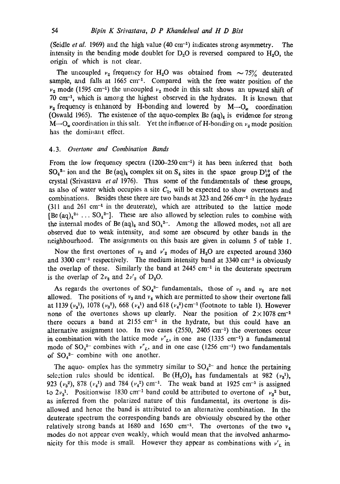(Seidle *et al.* 1969) and the high value (40 cm<sup>-1</sup>) indicates strong asymmetry. The intensity in the bending mode doublet for  $D<sub>v</sub>O$  is reversed compared to  $H<sub>v</sub>O$ , the origin of which is not clear.

The uncoupled  $v_2$  frequency for H<sub>2</sub>O was obtained from  $\sim 75\%$  deuterated sample, and falls at 1665 cm<sup>-1</sup>. Compared with the free water position of the  $v_2$  mode (1595 cm<sup>-1</sup>) the uncoupled  $v_2$  mode in this salt shows an upward shift of  $70 \text{ cm}^{-1}$ , which is among the highest observed in the hydrates. It is known that  $v_2$  frequency is enhanced by H-bonding and lowered by  $M-O_\omega$  coordination (Oswald 1965). The existence of the aquo-complex Be  $(aq)_4$  is evidence for strong M—O<sub>w</sub> coordination in this salt. Yet the influence of H-bonding on  $v_2$  mode position has the dominant effect.

## 4.3. *Overtone and Combination Bands*

From the low frequency spectra  $(1200-250 \text{ cm}^{-1})$  it has been inferred that both  $SO_4^{2-}$  ion and the Be (aq)<sub>4</sub> complex sit on  $S_4$  sites in the space group  $D_{2d}^{10}$  of the crystal (Srivastava *et al* 1976). Thus some of the fundamentals of these groups, as also of water which occupies a site  $C_1$ , will be expected to show overtones and combinations. Besides these there are two bands at 323 and 266 cm $^{-1}$  in the hydrate  $(311$  and  $261$  cm<sup>-1</sup> in the deuterate), which are attributed to the lattice mode  $[Be (aq)<sub>4</sub><sup>2+</sup> ... SO<sub>4</sub><sup>2-</sup>].$  These are also allowed by selection rules to combine with the internal modes of Be  $(aq)_4$  and  $SO_4^2$ . Among the allowed modes, not all are observed due to weak intensity, and some are obscured by other bands in the neighbourhood. The assignments on this basis are given in column 5 of table 1.

Now the first overtones of  $v_2$  and  $v'_2$  modes of H<sub>2</sub>O are expected around 3360 and 3300 cm<sup>-1</sup> respectively. The medium intensity band at 3340 cm<sup>-1</sup> is obviously the overlap of these. Similarly the band at  $2445 \text{ cm}^{-1}$  in the deuterate spectrum is the overlap of  $2v_2$  and  $2v'_2$  of D<sub>2</sub>O.

As regards the overtones of  $SO_4^{2-}$  fundamentals, those of  $v_1$  and  $v_2$  are not allowed. The positions of  $v_3$  and  $v_4$  which are permitted to show their overtone fall at 1139 ( $v_3$ <sup>1</sup>), 1078 ( $v_3$ <sup>2</sup>), 668 ( $v_4$ <sup>1</sup>) and 618 ( $v_4$ <sup>2</sup>) cm<sup>-1</sup> (footnote to table 1). However none of the overtones shows up clearly. Near the position of  $2 \times 1078$  cm<sup>-1</sup> there occurs a band at  $2155 \text{ cm}^{-1}$  in the hydrate, but this could have an alternative assignment too. In two cases (2550, 2405 cm<sup>-1</sup>) the overtones occur in combination with the lattice mode  $v''_L$ , in one ase (1335 cm<sup>-1</sup>) a fundamental mode of  $SO_4^2$ - combines with  $v''_L$ , and in one case (1256 cm<sup>-1</sup>) two fundamentals of  $SO_4^2$  combine with one another.

The aquo- omplex has the symmetry similar to  $SO_4^{2-}$  and hence the pertaining selection rules should be identical. Be  $(H_2O)_4$  has fundamentals at 982  $(v_3^1)$ , 923  $(\nu_3^2)$ , 878  $(\nu_4^1)$  and 784  $(\nu_4^2)$  cm<sup>-1</sup>. The weak band at 1925 cm<sup>-1</sup> is assigned to  $2v_3$ <sup>1</sup>. Positionwise 1830 cm<sup>-1</sup> band could be attributed to overtone of  $v_3$ <sup>2</sup> but, as inferred from the polarized nature of this fundamental, its overtone is disallowed and hence the band is attributed to an alternative combination. In the deuterate spectrum the corresponding bands are obviously obscured by the other relatively strong bands at 1680 and 1650 cm<sup>-1</sup>. The overtones of the two  $v_4$ modes do not appear even weakly, which would mean that the involved anharmonicity for this mode is small. However they appear as combinations with  $v'_L$  in